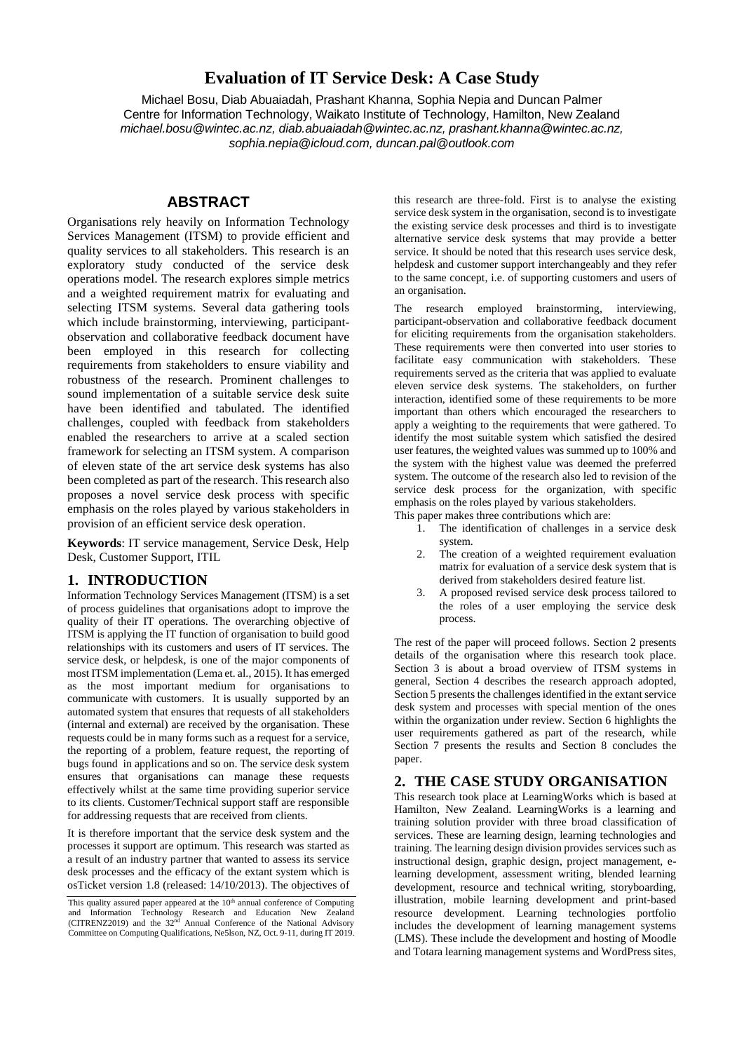# **Evaluation of IT Service Desk: A Case Study**

Michael Bosu, Diab Abuaiadah, Prashant Khanna, Sophia Nepia and Duncan Palmer Centre for Information Technology, Waikato Institute of Technology, Hamilton, New Zealand *michael.bosu@wintec.ac.nz, diab.abuaiadah@wintec.ac.nz, prashant.khanna@wintec.ac.nz, sophia.nepia@icloud.com, duncan.pal@outlook.com*

# **ABSTRACT**

Organisations rely heavily on Information Technology Services Management (ITSM) to provide efficient and quality services to all stakeholders. This research is an exploratory study conducted of the service desk operations model. The research explores simple metrics and a weighted requirement matrix for evaluating and selecting ITSM systems. Several data gathering tools which include brainstorming, interviewing, participantobservation and collaborative feedback document have been employed in this research for collecting requirements from stakeholders to ensure viability and robustness of the research. Prominent challenges to sound implementation of a suitable service desk suite have been identified and tabulated. The identified challenges, coupled with feedback from stakeholders enabled the researchers to arrive at a scaled section framework for selecting an ITSM system. A comparison of eleven state of the art service desk systems has also been completed as part of the research. This research also proposes a novel service desk process with specific emphasis on the roles played by various stakeholders in provision of an efficient service desk operation.

**Keywords**: IT service management, Service Desk, Help Desk, Customer Support, ITIL

# **1. INTRODUCTION**

Information Technology Services Management (ITSM) is a set of process guidelines that organisations adopt to improve the quality of their IT operations. The overarching objective of ITSM is applying the IT function of organisation to build good relationships with its customers and users of IT services. The service desk, or helpdesk, is one of the major components of most ITSM implementation (Lema et. al., 2015). It has emerged as the most important medium for organisations to communicate with customers. It is usually supported by an automated system that ensures that requests of all stakeholders (internal and external) are received by the organisation. These requests could be in many forms such as a request for a service, the reporting of a problem, feature request, the reporting of bugs found in applications and so on. The service desk system ensures that organisations can manage these requests effectively whilst at the same time providing superior service to its clients. Customer/Technical support staff are responsible for addressing requests that are received from clients.

It is therefore important that the service desk system and the processes it support are optimum. This research was started as a result of an industry partner that wanted to assess its service desk processes and the efficacy of the extant system which is osTicket version 1.8 (released: 14/10/2013). The objectives of this research are three-fold. First is to analyse the existing service desk system in the organisation, second is to investigate the existing service desk processes and third is to investigate alternative service desk systems that may provide a better service. It should be noted that this research uses service desk, helpdesk and customer support interchangeably and they refer to the same concept, i.e. of supporting customers and users of an organisation.

The research employed brainstorming, interviewing, participant-observation and collaborative feedback document for eliciting requirements from the organisation stakeholders. These requirements were then converted into user stories to facilitate easy communication with stakeholders. These requirements served as the criteria that was applied to evaluate eleven service desk systems. The stakeholders, on further interaction, identified some of these requirements to be more important than others which encouraged the researchers to apply a weighting to the requirements that were gathered. To identify the most suitable system which satisfied the desired user features, the weighted values was summed up to 100% and the system with the highest value was deemed the preferred system. The outcome of the research also led to revision of the service desk process for the organization, with specific emphasis on the roles played by various stakeholders.

- This paper makes three contributions which are:
	- 1. The identification of challenges in a service desk system.
	- 2. The creation of a weighted requirement evaluation matrix for evaluation of a service desk system that is derived from stakeholders desired feature list.
	- 3. A proposed revised service desk process tailored to the roles of a user employing the service desk process.

The rest of the paper will proceed follows. Section 2 presents details of the organisation where this research took place. Section 3 is about a broad overview of ITSM systems in general, Section 4 describes the research approach adopted, Section 5 presents the challenges identified in the extant service desk system and processes with special mention of the ones within the organization under review. Section 6 highlights the user requirements gathered as part of the research, while Section 7 presents the results and Section 8 concludes the paper.

# **2. THE CASE STUDY ORGANISATION**

This research took place at LearningWorks which is based at Hamilton, New Zealand. LearningWorks is a learning and training solution provider with three broad classification of services. These are learning design, learning technologies and training. The learning design division provides services such as instructional design, graphic design, project management, elearning development, assessment writing, blended learning development, resource and technical writing, storyboarding, illustration, mobile learning development and print-based resource development. Learning technologies portfolio includes the development of learning management systems (LMS). These include the development and hosting of Moodle and Totara learning management systems and WordPress sites,

This quality assured paper appeared at the 10<sup>th</sup> annual conference of Computing and Information Technology Research and Education New Zealand (CITRENZ2019) and the 32<sup>nd</sup> Annual Conference of the National Advisory Committee on Computing Qualifications, Ne5lson, NZ, Oct. 9-11, during IT 2019.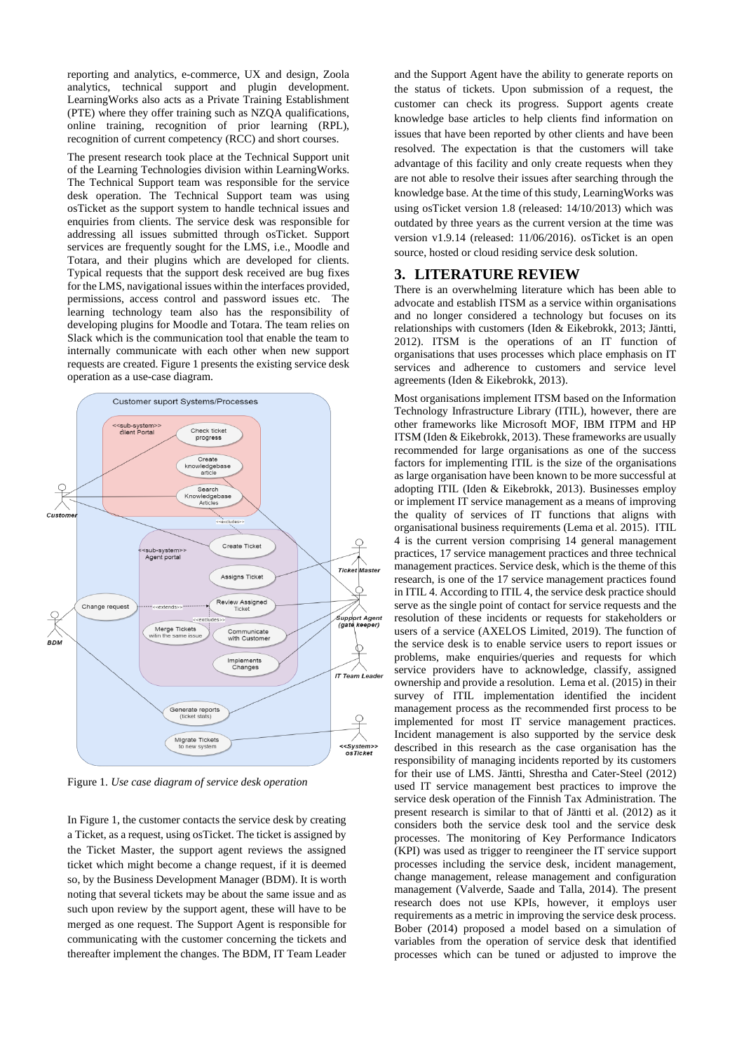reporting and analytics, e-commerce, UX and design, Zoola analytics, technical support and plugin development. LearningWorks also acts as a Private Training Establishment (PTE) where they offer training such as NZQA qualifications, online training, recognition of prior learning (RPL), recognition of current competency (RCC) and short courses.

The present research took place at the Technical Support unit of the Learning Technologies division within LearningWorks. The Technical Support team was responsible for the service desk operation. The Technical Support team was using osTicket as the support system to handle technical issues and enquiries from clients. The service desk was responsible for addressing all issues submitted through osTicket. Support services are frequently sought for the LMS, i.e., Moodle and Totara, and their plugins which are developed for clients. Typical requests that the support desk received are bug fixes for the LMS, navigational issues within the interfaces provided, permissions, access control and password issues etc. The learning technology team also has the responsibility of developing plugins for Moodle and Totara. The team relies on Slack which is the communication tool that enable the team to internally communicate with each other when new support requests are created. Figure 1 presents the existing service desk operation as a use-case diagram.



Figure 1. *Use case diagram of service desk operation*

In Figure 1, the customer contacts the service desk by creating a Ticket, as a request, using osTicket. The ticket is assigned by the Ticket Master, the support agent reviews the assigned ticket which might become a change request, if it is deemed so, by the Business Development Manager (BDM). It is worth noting that several tickets may be about the same issue and as such upon review by the support agent, these will have to be merged as one request. The Support Agent is responsible for communicating with the customer concerning the tickets and thereafter implement the changes. The BDM, IT Team Leader and the Support Agent have the ability to generate reports on the status of tickets. Upon submission of a request, the customer can check its progress. Support agents create knowledge base articles to help clients find information on issues that have been reported by other clients and have been resolved. The expectation is that the customers will take advantage of this facility and only create requests when they are not able to resolve their issues after searching through the knowledge base. At the time of this study, LearningWorks was using osTicket version 1.8 (released: 14/10/2013) which was outdated by three years as the current version at the time was version v1.9.14 (released: 11/06/2016). osTicket is an open source, hosted or cloud residing service desk solution.

## **3. LITERATURE REVIEW**

There is an overwhelming literature which has been able to advocate and establish ITSM as a service within organisations and no longer considered a technology but focuses on its relationships with customers (Iden & Eikebrokk, 2013; Jäntti, 2012). ITSM is the operations of an IT function of organisations that uses processes which place emphasis on IT services and adherence to customers and service level agreements (Iden & Eikebrokk, 2013).

Most organisations implement ITSM based on the Information Technology Infrastructure Library (ITIL), however, there are other frameworks like Microsoft MOF, IBM ITPM and HP ITSM (Iden & Eikebrokk, 2013). These frameworks are usually recommended for large organisations as one of the success factors for implementing ITIL is the size of the organisations as large organisation have been known to be more successful at adopting ITIL (Iden & Eikebrokk, 2013). Businesses employ or implement IT service management as a means of improving the quality of services of IT functions that aligns with organisational business requirements (Lema et al. 2015). ITIL 4 is the current version comprising 14 general management practices, 17 service management practices and three technical management practices. Service desk, which is the theme of this research, is one of the 17 service management practices found in ITIL 4. According to ITIL 4, the service desk practice should serve as the single point of contact for service requests and the resolution of these incidents or requests for stakeholders or users of a service (AXELOS Limited, 2019). The function of the service desk is to enable service users to report issues or problems, make enquiries/queries and requests for which service providers have to acknowledge, classify, assigned ownership and provide a resolution. Lema et al. (2015) in their survey of ITIL implementation identified the incident management process as the recommended first process to be implemented for most IT service management practices. Incident management is also supported by the service desk described in this research as the case organisation has the responsibility of managing incidents reported by its customers for their use of LMS. Jäntti, Shrestha and Cater-Steel (2012) used IT service management best practices to improve the service desk operation of the Finnish Tax Administration. The present research is similar to that of Jäntti et al. (2012) as it considers both the service desk tool and the service desk processes. The monitoring of Key Performance Indicators (KPI) was used as trigger to reengineer the IT service support processes including the service desk, incident management, change management, release management and configuration management (Valverde, Saade and Talla, 2014). The present research does not use KPIs, however, it employs user requirements as a metric in improving the service desk process. Bober (2014) proposed a model based on a simulation of variables from the operation of service desk that identified processes which can be tuned or adjusted to improve the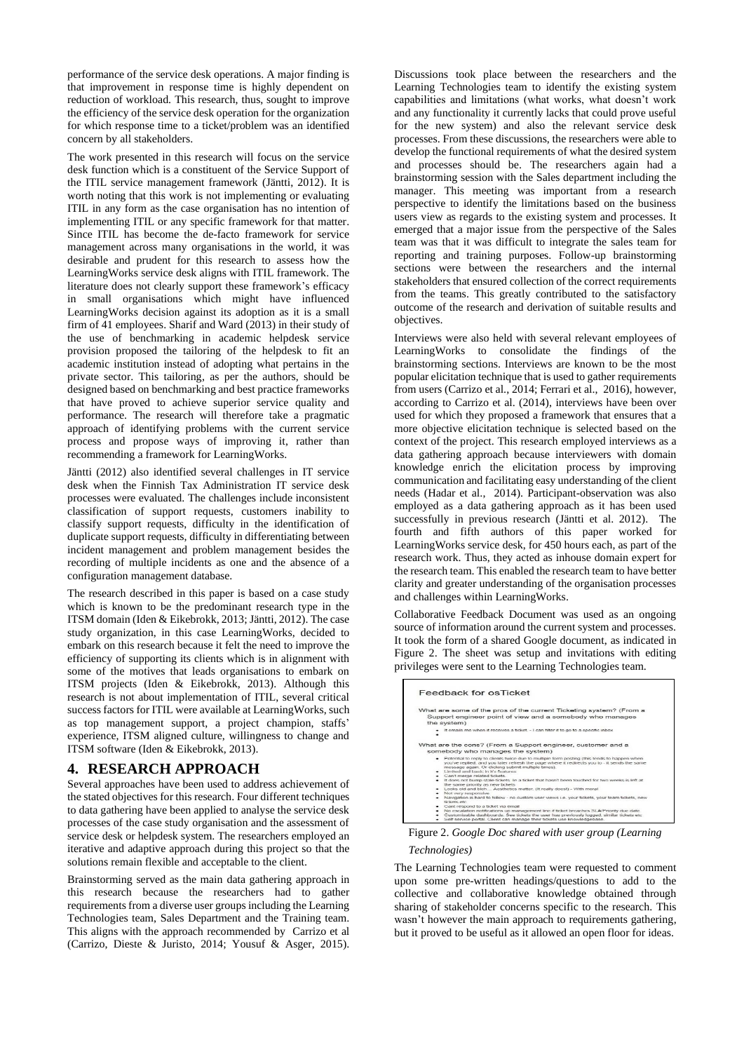performance of the service desk operations. A major finding is that improvement in response time is highly dependent on reduction of workload. This research, thus, sought to improve the efficiency of the service desk operation for the organization for which response time to a ticket/problem was an identified concern by all stakeholders.

The work presented in this research will focus on the service desk function which is a constituent of the Service Support of the ITIL service management framework (Jäntti, 2012). It is worth noting that this work is not implementing or evaluating ITIL in any form as the case organisation has no intention of implementing ITIL or any specific framework for that matter. Since ITIL has become the de-facto framework for service management across many organisations in the world, it was desirable and prudent for this research to assess how the LearningWorks service desk aligns with ITIL framework. The literature does not clearly support these framework's efficacy in small organisations which might have influenced LearningWorks decision against its adoption as it is a small firm of 41 employees. Sharif and Ward (2013) in their study of the use of benchmarking in academic helpdesk service provision proposed the tailoring of the helpdesk to fit an academic institution instead of adopting what pertains in the private sector. This tailoring, as per the authors, should be designed based on benchmarking and best practice frameworks that have proved to achieve superior service quality and performance. The research will therefore take a pragmatic approach of identifying problems with the current service process and propose ways of improving it, rather than recommending a framework for LearningWorks.

Jäntti (2012) also identified several challenges in IT service desk when the Finnish Tax Administration IT service desk processes were evaluated. The challenges include inconsistent classification of support requests, customers inability to classify support requests, difficulty in the identification of duplicate support requests, difficulty in differentiating between incident management and problem management besides the recording of multiple incidents as one and the absence of a configuration management database.

The research described in this paper is based on a case study which is known to be the predominant research type in the ITSM domain (Iden & Eikebrokk, 2013; Jäntti, 2012). The case study organization, in this case LearningWorks, decided to embark on this research because it felt the need to improve the efficiency of supporting its clients which is in alignment with some of the motives that leads organisations to embark on ITSM projects (Iden & Eikebrokk, 2013). Although this research is not about implementation of ITIL, several critical success factors for ITIL were available at LearningWorks, such as top management support, a project champion, staffs' experience, ITSM aligned culture, willingness to change and ITSM software (Iden & Eikebrokk, 2013).

# **4. RESEARCH APPROACH**

Several approaches have been used to address achievement of the stated objectives for this research. Four different techniques to data gathering have been applied to analyse the service desk processes of the case study organisation and the assessment of service desk or helpdesk system. The researchers employed an iterative and adaptive approach during this project so that the solutions remain flexible and acceptable to the client.

Brainstorming served as the main data gathering approach in this research because the researchers had to gather requirements from a diverse user groups including the Learning Technologies team, Sales Department and the Training team. This aligns with the approach recommended by Carrizo et al (Carrizo, Dieste & Juristo, 2014; Yousuf & Asger, 2015).

Discussions took place between the researchers and the Learning Technologies team to identify the existing system capabilities and limitations (what works, what doesn't work and any functionality it currently lacks that could prove useful for the new system) and also the relevant service desk processes. From these discussions, the researchers were able to develop the functional requirements of what the desired system and processes should be. The researchers again had a brainstorming session with the Sales department including the manager. This meeting was important from a research perspective to identify the limitations based on the business users view as regards to the existing system and processes. It emerged that a major issue from the perspective of the Sales team was that it was difficult to integrate the sales team for reporting and training purposes. Follow-up brainstorming sections were between the researchers and the internal stakeholders that ensured collection of the correct requirements from the teams. This greatly contributed to the satisfactory outcome of the research and derivation of suitable results and objectives.

Interviews were also held with several relevant employees of LearningWorks to consolidate the findings of the brainstorming sections. Interviews are known to be the most popular elicitation technique that is used to gather requirements from users (Carrizo et al., 2014; Ferrari et al., 2016), however, according to Carrizo et al. (2014), interviews have been over used for which they proposed a framework that ensures that a more objective elicitation technique is selected based on the context of the project. This research employed interviews as a data gathering approach because interviewers with domain knowledge enrich the elicitation process by improving communication and facilitating easy understanding of the client needs (Hadar et al., 2014). Participant-observation was also employed as a data gathering approach as it has been used successfully in previous research (Jäntti et al. 2012). The fourth and fifth authors of this paper worked for LearningWorks service desk, for 450 hours each, as part of the research work. Thus, they acted as inhouse domain expert for the research team. This enabled the research team to have better clarity and greater understanding of the organisation processes and challenges within LearningWorks.

Collaborative Feedback Document was used as an ongoing source of information around the current system and processes. It took the form of a shared Google document, as indicated in Figure 2. The sheet was setup and invitations with editing privileges were sent to the Learning Technologies team.

| Feedback for osTicket                                                                                                                                                                                                                                                                                                                                                                                                                                                                                                                                                                                                                                                                 |
|---------------------------------------------------------------------------------------------------------------------------------------------------------------------------------------------------------------------------------------------------------------------------------------------------------------------------------------------------------------------------------------------------------------------------------------------------------------------------------------------------------------------------------------------------------------------------------------------------------------------------------------------------------------------------------------|
| What are some of the pros of the current Ticketing system? (From a<br>Support engineer point of view and a somebody who manages<br>the system)                                                                                                                                                                                                                                                                                                                                                                                                                                                                                                                                        |
| It emails me when it receives a ticket - I can filter it to go to a specific inbox.                                                                                                                                                                                                                                                                                                                                                                                                                                                                                                                                                                                                   |
| What are the cons? (From a Support engineer, customer and a<br>somebody who manages the system)                                                                                                                                                                                                                                                                                                                                                                                                                                                                                                                                                                                       |
| . Potential to reply to clients twice due to multiple form posting (this tends to happen when<br>you've replied, and you later refresh the page where it redirects you to - it sends the same<br>message again. Or clicking submit multiple times).<br>· Limited and basic in it's features.<br>· Can't merge related tickets.<br>It does not bump stale tickets le a ticket that hasn't been touched for two weeks is left at<br>the same priority as new tickets.<br>. Looks old and blch Aesthetics matter. (It really does!) - With moral<br>Not very responsive<br>Navigation is hard to follow - no custom user views i.e. your tickets, your team tickets, new<br>tickets atc. |
| · Cant respond to a ticket via email<br>No escalation notifications up management line if ticket breaches SLA/Priority due date.                                                                                                                                                                                                                                                                                                                                                                                                                                                                                                                                                      |

Figure 2. *Google Doc shared with user group (Learning* 

### *Technologies)*

The Learning Technologies team were requested to comment upon some pre-written headings/questions to add to the collective and collaborative knowledge obtained through sharing of stakeholder concerns specific to the research. This wasn't however the main approach to requirements gathering, but it proved to be useful as it allowed an open floor for ideas.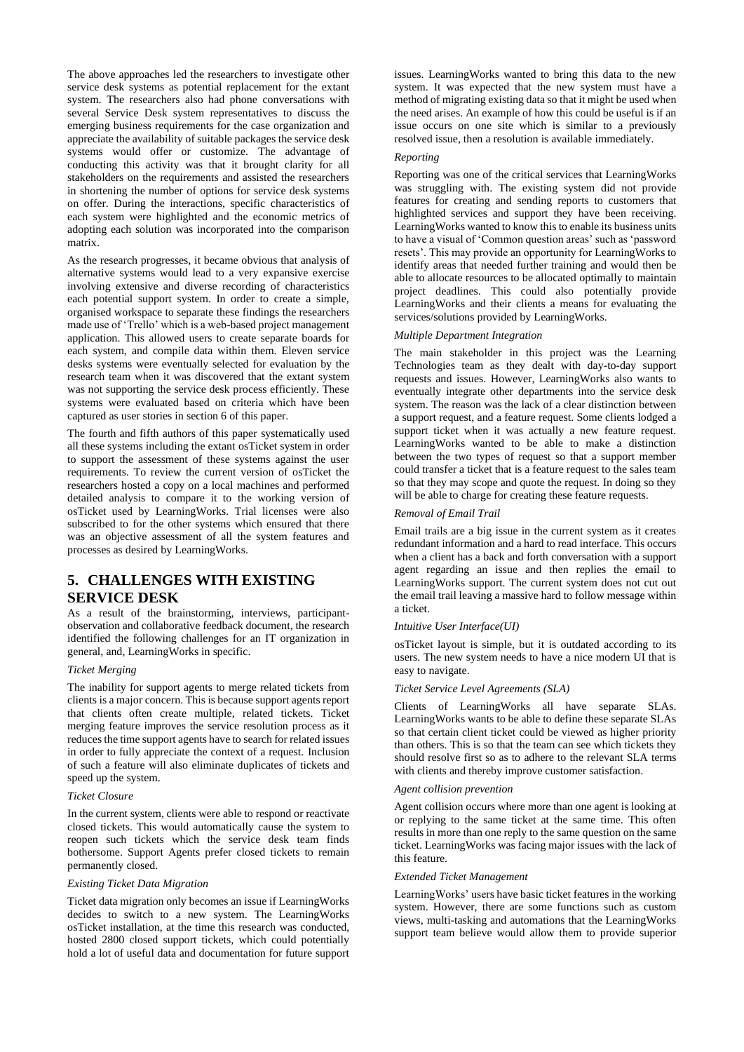The above approaches led the researchers to investigate other service desk systems as potential replacement for the extant system. The researchers also had phone conversations with several Service Desk system representatives to discuss the emerging business requirements for the case organization and appreciate the availability of suitable packages the service desk systems would offer or customize. The advantage of conducting this activity was that it brought clarity for all stakeholders on the requirements and assisted the researchers in shortening the number of options for service desk systems on offer. During the interactions, specific characteristics of each system were highlighted and the economic metrics of adopting each solution was incorporated into the comparison matrix.

As the research progresses, it became obvious that analysis of alternative systems would lead to a very expansive exercise involving extensive and diverse recording of characteristics each potential support system. In order to create a simple, organised workspace to separate these findings the researchers made use of 'Trello' which is a web-based project management application. This allowed users to create separate boards for each system, and compile data within them. Eleven service desks systems were eventually selected for evaluation by the research team when it was discovered that the extant system was not supporting the service desk process efficiently. These systems were evaluated based on criteria which have been captured as user stories in section 6 of this paper.

The fourth and fifth authors of this paper systematically used all these systems including the extant osTicket system in order to support the assessment of these systems against the user requirements. To review the current version of osTicket the researchers hosted a copy on a local machines and performed detailed analysis to compare it to the working version of osTicket used by LearningWorks. Trial licenses were also subscribed to for the other systems which ensured that there was an objective assessment of all the system features and processes as desired by LearningWorks.

# **5. CHALLENGES WITH EXISTING SERVICE DESK**

As a result of the brainstorming, interviews, participantobservation and collaborative feedback document, the research identified the following challenges for an IT organization in general, and, LearningWorks in specific.

### *Ticket Merging*

The inability for support agents to merge related tickets from clients is a major concern. This is because support agents report that clients often create multiple, related tickets. Ticket merging feature improves the service resolution process as it reduces the time support agents have to search for related issues in order to fully appreciate the context of a request. Inclusion of such a feature will also eliminate duplicates of tickets and speed up the system.

#### *Ticket Closure*

In the current system, clients were able to respond or reactivate closed tickets. This would automatically cause the system to reopen such tickets which the service desk team finds bothersome. Support Agents prefer closed tickets to remain permanently closed.

### *Existing Ticket Data Migration*

Ticket data migration only becomes an issue if LearningWorks decides to switch to a new system. The LearningWorks osTicket installation, at the time this research was conducted, hosted 2800 closed support tickets, which could potentially hold a lot of useful data and documentation for future support issues. LearningWorks wanted to bring this data to the new system. It was expected that the new system must have a method of migrating existing data so that it might be used when the need arises. An example of how this could be useful is if an issue occurs on one site which is similar to a previously resolved issue, then a resolution is available immediately.

### *Reporting*

Reporting was one of the critical services that LearningWorks was struggling with. The existing system did not provide features for creating and sending reports to customers that highlighted services and support they have been receiving. LearningWorks wanted to know this to enable its business units to have a visual of 'Common question areas' such as 'password resets'. This may provide an opportunity for LearningWorks to identify areas that needed further training and would then be able to allocate resources to be allocated optimally to maintain project deadlines. This could also potentially provide LearningWorks and their clients a means for evaluating the services/solutions provided by LearningWorks.

## *Multiple Department Integration*

The main stakeholder in this project was the Learning Technologies team as they dealt with day-to-day support requests and issues. However, LearningWorks also wants to eventually integrate other departments into the service desk system. The reason was the lack of a clear distinction between a support request, and a feature request. Some clients lodged a support ticket when it was actually a new feature request. LearningWorks wanted to be able to make a distinction between the two types of request so that a support member could transfer a ticket that is a feature request to the sales team so that they may scope and quote the request. In doing so they will be able to charge for creating these feature requests.

## *Removal of Email Trail*

Email trails are a big issue in the current system as it creates redundant information and a hard to read interface. This occurs when a client has a back and forth conversation with a support agent regarding an issue and then replies the email to LearningWorks support. The current system does not cut out the email trail leaving a massive hard to follow message within a ticket.

#### *Intuitive User Interface(UI)*

osTicket layout is simple, but it is outdated according to its users. The new system needs to have a nice modern UI that is easy to navigate.

### *Ticket Service Level Agreements (SLA)*

Clients of LearningWorks all have separate SLAs. LearningWorks wants to be able to define these separate SLAs so that certain client ticket could be viewed as higher priority than others. This is so that the team can see which tickets they should resolve first so as to adhere to the relevant SLA terms with clients and thereby improve customer satisfaction.

## *Agent collision prevention*

Agent collision occurs where more than one agent is looking at or replying to the same ticket at the same time. This often results in more than one reply to the same question on the same ticket. LearningWorks was facing major issues with the lack of this feature.

#### *Extended Ticket Management*

LearningWorks' users have basic ticket features in the working system. However, there are some functions such as custom views, multi-tasking and automations that the LearningWorks support team believe would allow them to provide superior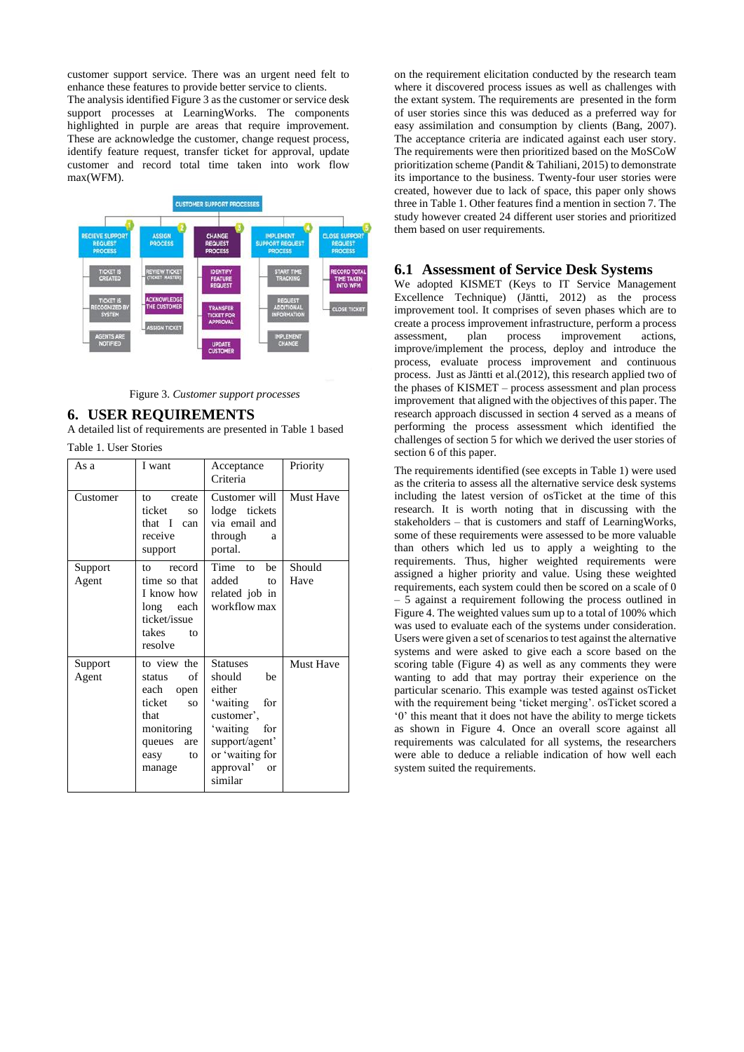customer support service. There was an urgent need felt to enhance these features to provide better service to clients. The analysis identified Figure 3 as the customer or service desk support processes at LearningWorks. The components highlighted in purple are areas that require improvement. These are acknowledge the customer, change request process, identify feature request, transfer ticket for approval, update customer and record total time taken into work flow max(WFM).



Figure 3. *Customer support processes*

## **6. USER REQUIREMENTS**

A detailed list of requirements are presented in Table 1 based Table 1. User Stories

| As a             | I want                                                                                                                      | Acceptance<br>Criteria                                                                                                                                        | Priority         |
|------------------|-----------------------------------------------------------------------------------------------------------------------------|---------------------------------------------------------------------------------------------------------------------------------------------------------------|------------------|
| Customer         | to<br>create<br>ticket<br>SO.<br>that I can<br>receive<br>support                                                           | Customer will<br>lodge tickets<br>via email and<br>through<br>a<br>portal.                                                                                    | <b>Must Have</b> |
| Support<br>Agent | record<br>tΩ<br>time so that<br>I know how<br>long each<br>ticket/issue<br>takes<br>$f_{\Omega}$<br>resolve                 | Time to<br>he<br>added<br>to<br>related job in<br>workflow max                                                                                                | Should<br>Have   |
| Support<br>Agent | to view the<br>of<br>status<br>each<br>open<br>ticket<br>SO.<br>that<br>monitoring<br>queues<br>are<br>to<br>easy<br>manage | <b>Statuses</b><br>should<br>be<br>either<br>'waiting<br>for<br>customer',<br>'waiting for<br>support/agent'<br>or 'waiting for<br>approval'<br>or<br>similar | <b>Must Have</b> |

on the requirement elicitation conducted by the research team where it discovered process issues as well as challenges with the extant system. The requirements are presented in the form of user stories since this was deduced as a preferred way for easy assimilation and consumption by clients (Bang, 2007). The acceptance criteria are indicated against each user story. The requirements were then prioritized based on the MoSCoW prioritization scheme (Pandit & Tahiliani, 2015) to demonstrate its importance to the business. Twenty-four user stories were created, however due to lack of space, this paper only shows three in Table 1. Other features find a mention in section 7. The study however created 24 different user stories and prioritized them based on user requirements.

## **6.1 Assessment of Service Desk Systems**

We adopted KISMET (Keys to IT Service Management Excellence Technique) (Jäntti, 2012) as the process improvement tool. It comprises of seven phases which are to create a process improvement infrastructure, perform a process assessment, plan process improvement actions, improve/implement the process, deploy and introduce the process, evaluate process improvement and continuous process. Just as Jäntti et al.(2012), this research applied two of the phases of KISMET – process assessment and plan process improvement that aligned with the objectives of this paper. The research approach discussed in section 4 served as a means of performing the process assessment which identified the challenges of section 5 for which we derived the user stories of section 6 of this paper.

The requirements identified (see excepts in Table 1) were used as the criteria to assess all the alternative service desk systems including the latest version of osTicket at the time of this research. It is worth noting that in discussing with the stakeholders – that is customers and staff of LearningWorks, some of these requirements were assessed to be more valuable than others which led us to apply a weighting to the requirements. Thus, higher weighted requirements were assigned a higher priority and value. Using these weighted requirements, each system could then be scored on a scale of 0  $-5$  against a requirement following the process outlined in Figure 4. The weighted values sum up to a total of 100% which was used to evaluate each of the systems under consideration. Users were given a set of scenarios to test against the alternative systems and were asked to give each a score based on the scoring table (Figure 4) as well as any comments they were wanting to add that may portray their experience on the particular scenario. This example was tested against osTicket with the requirement being 'ticket merging'. osTicket scored a '0' this meant that it does not have the ability to merge tickets as shown in Figure 4. Once an overall score against all requirements was calculated for all systems, the researchers were able to deduce a reliable indication of how well each system suited the requirements.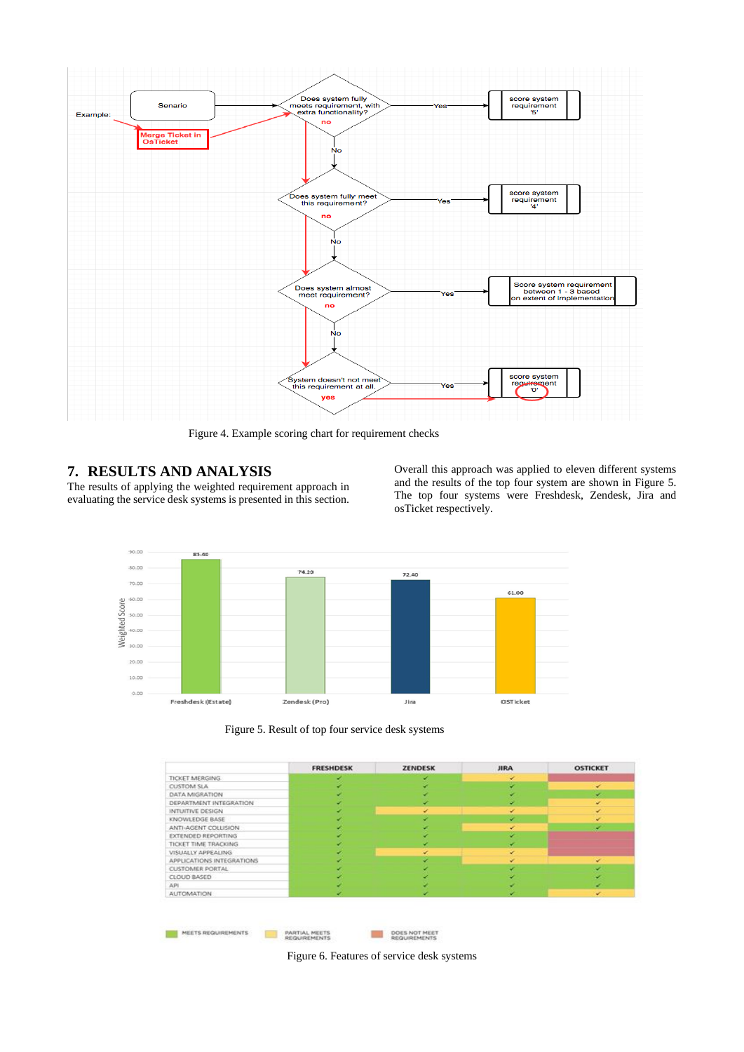

Figure 4. Example scoring chart for requirement checks

# **7. RESULTS AND ANALYSIS**

The results of applying the weighted requirement approach in evaluating the service desk systems is presented in this section.

Overall this approach was applied to eleven different systems and the results of the top four system are shown in Figure 5. The top four systems were Freshdesk, Zendesk, Jira and osTicket respectively.



Figure 5. Result of top four service desk systems

|                          | <b>FRESHDESK</b> | <b>ZENDESK</b> | <b>JIRA</b>  | <b>OSTICKET</b> |
|--------------------------|------------------|----------------|--------------|-----------------|
| TICKET MERGING           |                  |                | v            |                 |
| <b>CUSTOM SLA</b>        |                  |                |              | ✓               |
| DATA MIGRATION           |                  |                |              | v               |
| DEPARTMENT INTEGRATION   |                  |                |              | v               |
| <b>INTUITIVE DESIGN</b>  |                  |                |              | ÷               |
| KNOWLEDGE BASE           |                  |                | v            | v               |
| ANTI-AGENT COLLISION     |                  |                |              |                 |
| EXTENDED REPORTING       |                  |                | ۰            |                 |
| TICKET TIME TRACKING     |                  |                |              |                 |
| VISUALLY APPEALING       |                  | ✓              | $\checkmark$ |                 |
| APPUCATIONS INTEGRATIONS |                  |                | ×            | v               |
| CUSTOMER PORTAL          |                  |                |              |                 |
| CLOUD BASED              |                  |                |              |                 |
| API                      |                  |                |              |                 |
| <b>AUTOMATION</b>        |                  |                |              | ٠               |

Figure 6. Features of service desk systems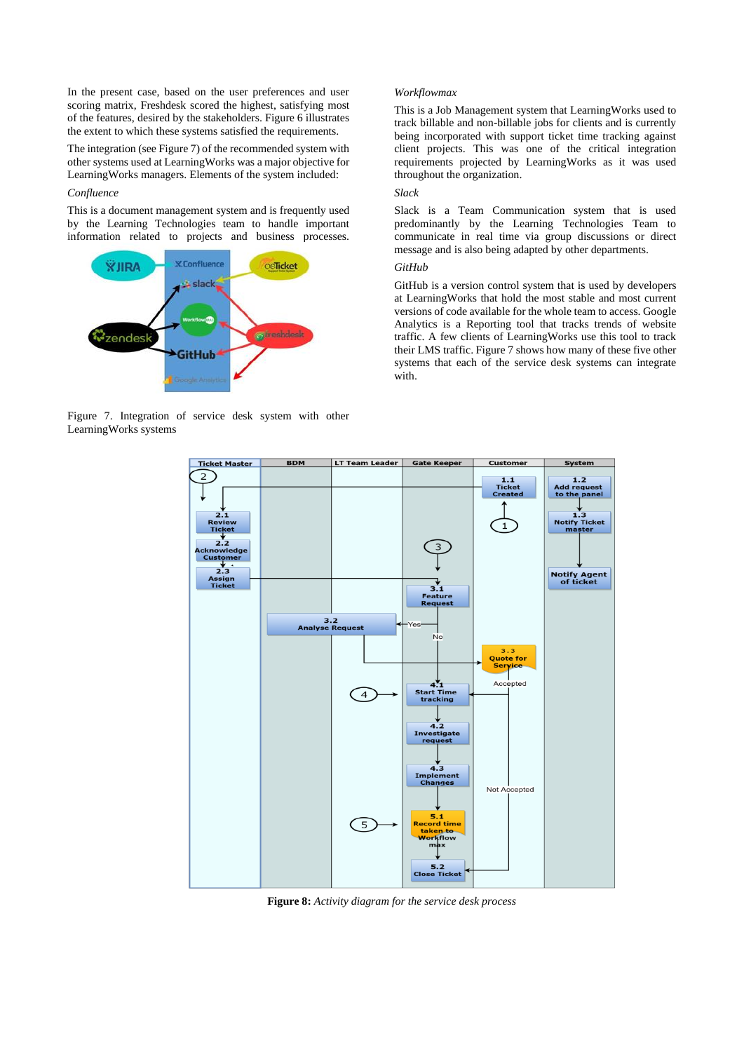In the present case, based on the user preferences and user scoring matrix, Freshdesk scored the highest, satisfying most of the features, desired by the stakeholders. Figure 6 illustrates the extent to which these systems satisfied the requirements.

The integration (see Figure 7) of the recommended system with other systems used at LearningWorks was a major objective for LearningWorks managers. Elements of the system included:

#### *Confluence*

This is a document management system and is frequently used by the Learning Technologies team to handle important information related to projects and business processes.



Figure 7. Integration of service desk system with other LearningWorks systems

## *Workflowmax*

This is a Job Management system that LearningWorks used to track billable and non-billable jobs for clients and is currently being incorporated with support ticket time tracking against client projects. This was one of the critical integration requirements projected by LearningWorks as it was used throughout the organization.

## *Slack*

Slack is a Team Communication system that is used predominantly by the Learning Technologies Team to communicate in real time via group discussions or direct message and is also being adapted by other departments.

## *GitHub*

GitHub is a version control system that is used by developers at LearningWorks that hold the most stable and most current versions of code available for the whole team to access. Google Analytics is a Reporting tool that tracks trends of website traffic. A few clients of LearningWorks use this tool to track their LMS traffic. Figure 7 shows how many of these five other systems that each of the service desk systems can integrate with.



 **Figure 8:** *Activity diagram for the service desk process*